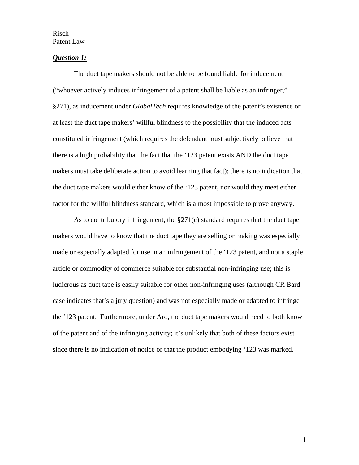## *Question 1:*

The duct tape makers should not be able to be found liable for inducement ("whoever actively induces infringement of a patent shall be liable as an infringer," §271), as inducement under *GlobalTech* requires knowledge of the patent's existence or at least the duct tape makers' willful blindness to the possibility that the induced acts constituted infringement (which requires the defendant must subjectively believe that there is a high probability that the fact that the '123 patent exists AND the duct tape makers must take deliberate action to avoid learning that fact); there is no indication that the duct tape makers would either know of the '123 patent, nor would they meet either factor for the willful blindness standard, which is almost impossible to prove anyway.

As to contributory infringement, the §271(c) standard requires that the duct tape makers would have to know that the duct tape they are selling or making was especially made or especially adapted for use in an infringement of the '123 patent, and not a staple article or commodity of commerce suitable for substantial non-infringing use; this is ludicrous as duct tape is easily suitable for other non-infringing uses (although CR Bard case indicates that's a jury question) and was not especially made or adapted to infringe the '123 patent. Furthermore, under Aro, the duct tape makers would need to both know of the patent and of the infringing activity; it's unlikely that both of these factors exist since there is no indication of notice or that the product embodying '123 was marked.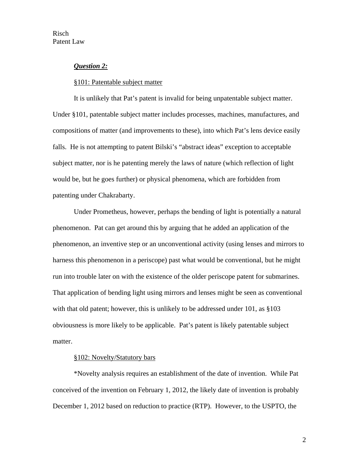## *Question 2:*

### §101: Patentable subject matter

It is unlikely that Pat's patent is invalid for being unpatentable subject matter. Under §101, patentable subject matter includes processes, machines, manufactures, and compositions of matter (and improvements to these), into which Pat's lens device easily falls. He is not attempting to patent Bilski's "abstract ideas" exception to acceptable subject matter, nor is he patenting merely the laws of nature (which reflection of light would be, but he goes further) or physical phenomena, which are forbidden from patenting under Chakrabarty.

Under Prometheus, however, perhaps the bending of light is potentially a natural phenomenon. Pat can get around this by arguing that he added an application of the phenomenon, an inventive step or an unconventional activity (using lenses and mirrors to harness this phenomenon in a periscope) past what would be conventional, but he might run into trouble later on with the existence of the older periscope patent for submarines. That application of bending light using mirrors and lenses might be seen as conventional with that old patent; however, this is unlikely to be addressed under 101, as §103 obviousness is more likely to be applicable. Pat's patent is likely patentable subject matter.

### §102: Novelty/Statutory bars

\*Novelty analysis requires an establishment of the date of invention. While Pat conceived of the invention on February 1, 2012, the likely date of invention is probably December 1, 2012 based on reduction to practice (RTP). However, to the USPTO, the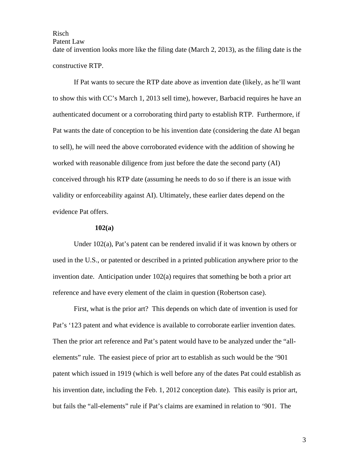Patent Law

date of invention looks more like the filing date (March 2, 2013), as the filing date is the constructive RTP.

If Pat wants to secure the RTP date above as invention date (likely, as he'll want to show this with CC's March 1, 2013 sell time), however, Barbacid requires he have an authenticated document or a corroborating third party to establish RTP. Furthermore, if Pat wants the date of conception to be his invention date (considering the date AI began to sell), he will need the above corroborated evidence with the addition of showing he worked with reasonable diligence from just before the date the second party (AI) conceived through his RTP date (assuming he needs to do so if there is an issue with validity or enforceability against AI). Ultimately, these earlier dates depend on the evidence Pat offers.

### **102(a)**

Under 102(a), Pat's patent can be rendered invalid if it was known by others or used in the U.S., or patented or described in a printed publication anywhere prior to the invention date. Anticipation under 102(a) requires that something be both a prior art reference and have every element of the claim in question (Robertson case).

First, what is the prior art? This depends on which date of invention is used for Pat's '123 patent and what evidence is available to corroborate earlier invention dates. Then the prior art reference and Pat's patent would have to be analyzed under the "allelements" rule. The easiest piece of prior art to establish as such would be the '901 patent which issued in 1919 (which is well before any of the dates Pat could establish as his invention date, including the Feb. 1, 2012 conception date). This easily is prior art, but fails the "all-elements" rule if Pat's claims are examined in relation to '901. The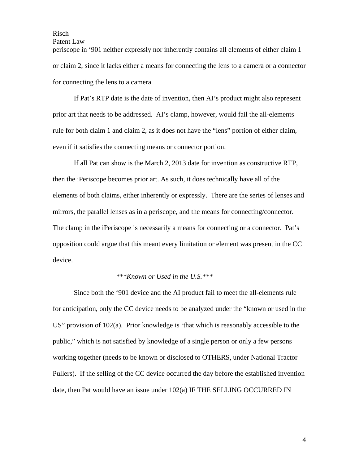Patent Law

periscope in '901 neither expressly nor inherently contains all elements of either claim 1 or claim 2, since it lacks either a means for connecting the lens to a camera or a connector for connecting the lens to a camera.

If Pat's RTP date is the date of invention, then AI's product might also represent prior art that needs to be addressed. AI's clamp, however, would fail the all-elements rule for both claim 1 and claim 2, as it does not have the "lens" portion of either claim, even if it satisfies the connecting means or connector portion.

If all Pat can show is the March 2, 2013 date for invention as constructive RTP, then the iPeriscope becomes prior art. As such, it does technically have all of the elements of both claims, either inherently or expressly. There are the series of lenses and mirrors, the parallel lenses as in a periscope, and the means for connecting/connector. The clamp in the iPeriscope is necessarily a means for connecting or a connector. Pat's opposition could argue that this meant every limitation or element was present in the CC device.

## *\*\*\*Known or Used in the U.S.\*\*\**

Since both the '901 device and the AI product fail to meet the all-elements rule for anticipation, only the CC device needs to be analyzed under the "known or used in the US" provision of  $102(a)$ . Prior knowledge is 'that which is reasonably accessible to the public," which is not satisfied by knowledge of a single person or only a few persons working together (needs to be known or disclosed to OTHERS, under National Tractor Pullers). If the selling of the CC device occurred the day before the established invention date, then Pat would have an issue under 102(a) IF THE SELLING OCCURRED IN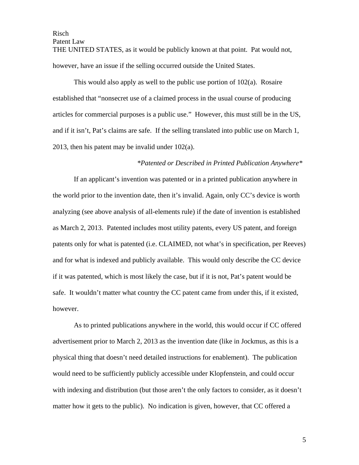Patent Law

THE UNITED STATES, as it would be publicly known at that point. Pat would not, however, have an issue if the selling occurred outside the United States.

This would also apply as well to the public use portion of 102(a). Rosaire established that "nonsecret use of a claimed process in the usual course of producing articles for commercial purposes is a public use." However, this must still be in the US, and if it isn't, Pat's claims are safe. If the selling translated into public use on March 1, 2013, then his patent may be invalid under  $102(a)$ .

# *\*Patented or Described in Printed Publication Anywhere\**

If an applicant's invention was patented or in a printed publication anywhere in the world prior to the invention date, then it's invalid. Again, only CC's device is worth analyzing (see above analysis of all-elements rule) if the date of invention is established as March 2, 2013. Patented includes most utility patents, every US patent, and foreign patents only for what is patented (i.e. CLAIMED, not what's in specification, per Reeves) and for what is indexed and publicly available. This would only describe the CC device if it was patented, which is most likely the case, but if it is not, Pat's patent would be safe. It wouldn't matter what country the CC patent came from under this, if it existed, however.

As to printed publications anywhere in the world, this would occur if CC offered advertisement prior to March 2, 2013 as the invention date (like in Jockmus, as this is a physical thing that doesn't need detailed instructions for enablement). The publication would need to be sufficiently publicly accessible under Klopfenstein, and could occur with indexing and distribution (but those aren't the only factors to consider, as it doesn't matter how it gets to the public). No indication is given, however, that CC offered a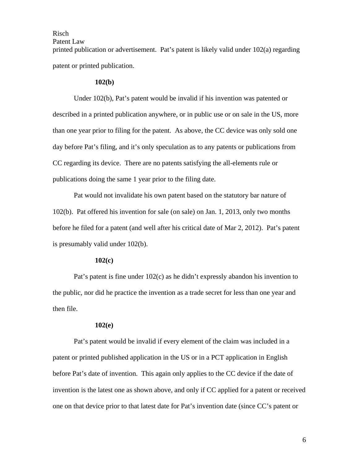Patent Law

printed publication or advertisement. Pat's patent is likely valid under 102(a) regarding patent or printed publication.

### **102(b)**

Under 102(b), Pat's patent would be invalid if his invention was patented or described in a printed publication anywhere, or in public use or on sale in the US, more than one year prior to filing for the patent. As above, the CC device was only sold one day before Pat's filing, and it's only speculation as to any patents or publications from CC regarding its device. There are no patents satisfying the all-elements rule or publications doing the same 1 year prior to the filing date.

Pat would not invalidate his own patent based on the statutory bar nature of 102(b). Pat offered his invention for sale (on sale) on Jan. 1, 2013, only two months before he filed for a patent (and well after his critical date of Mar 2, 2012). Pat's patent is presumably valid under 102(b).

### **102(c)**

Pat's patent is fine under 102(c) as he didn't expressly abandon his invention to the public, nor did he practice the invention as a trade secret for less than one year and then file.

### **102(e)**

Pat's patent would be invalid if every element of the claim was included in a patent or printed published application in the US or in a PCT application in English before Pat's date of invention. This again only applies to the CC device if the date of invention is the latest one as shown above, and only if CC applied for a patent or received one on that device prior to that latest date for Pat's invention date (since CC's patent or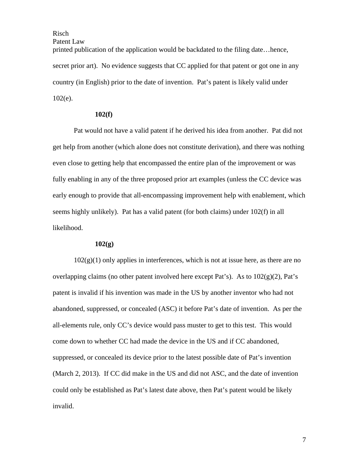Patent Law

printed publication of the application would be backdated to the filing date…hence, secret prior art). No evidence suggests that CC applied for that patent or got one in any country (in English) prior to the date of invention. Pat's patent is likely valid under 102(e).

## **102(f)**

Pat would not have a valid patent if he derived his idea from another. Pat did not get help from another (which alone does not constitute derivation), and there was nothing even close to getting help that encompassed the entire plan of the improvement or was fully enabling in any of the three proposed prior art examples (unless the CC device was early enough to provide that all-encompassing improvement help with enablement, which seems highly unlikely). Pat has a valid patent (for both claims) under 102(f) in all likelihood.

### **102(g)**

 $102(g)(1)$  only applies in interferences, which is not at issue here, as there are no overlapping claims (no other patent involved here except Pat's). As to  $102(g)(2)$ , Pat's patent is invalid if his invention was made in the US by another inventor who had not abandoned, suppressed, or concealed (ASC) it before Pat's date of invention. As per the all-elements rule, only CC's device would pass muster to get to this test. This would come down to whether CC had made the device in the US and if CC abandoned, suppressed, or concealed its device prior to the latest possible date of Pat's invention (March 2, 2013). If CC did make in the US and did not ASC, and the date of invention could only be established as Pat's latest date above, then Pat's patent would be likely invalid.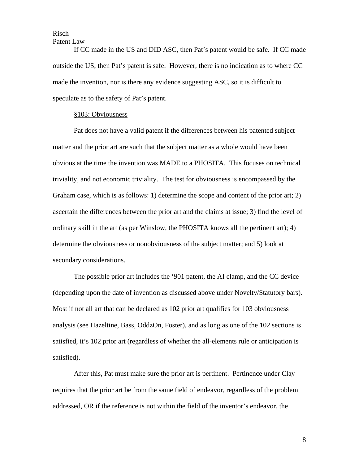Patent Law

If CC made in the US and DID ASC, then Pat's patent would be safe. If CC made outside the US, then Pat's patent is safe. However, there is no indication as to where CC made the invention, nor is there any evidence suggesting ASC, so it is difficult to speculate as to the safety of Pat's patent.

#### §103: Obviousness

Pat does not have a valid patent if the differences between his patented subject matter and the prior art are such that the subject matter as a whole would have been obvious at the time the invention was MADE to a PHOSITA. This focuses on technical triviality, and not economic triviality. The test for obviousness is encompassed by the Graham case, which is as follows: 1) determine the scope and content of the prior art; 2) ascertain the differences between the prior art and the claims at issue; 3) find the level of ordinary skill in the art (as per Winslow, the PHOSITA knows all the pertinent art); 4) determine the obviousness or nonobviousness of the subject matter; and 5) look at secondary considerations.

The possible prior art includes the '901 patent, the AI clamp, and the CC device (depending upon the date of invention as discussed above under Novelty/Statutory bars). Most if not all art that can be declared as 102 prior art qualifies for 103 obviousness analysis (see Hazeltine, Bass, OddzOn, Foster), and as long as one of the 102 sections is satisfied, it's 102 prior art (regardless of whether the all-elements rule or anticipation is satisfied).

After this, Pat must make sure the prior art is pertinent. Pertinence under Clay requires that the prior art be from the same field of endeavor, regardless of the problem addressed, OR if the reference is not within the field of the inventor's endeavor, the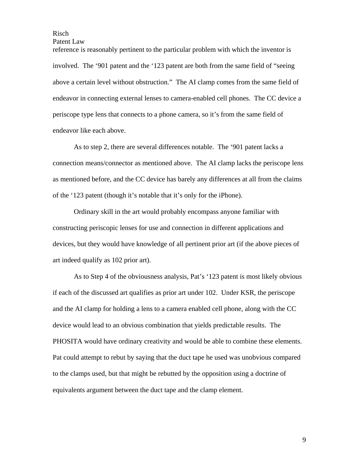Patent Law

reference is reasonably pertinent to the particular problem with which the inventor is involved. The '901 patent and the '123 patent are both from the same field of "seeing above a certain level without obstruction." The AI clamp comes from the same field of endeavor in connecting external lenses to camera-enabled cell phones. The CC device a periscope type lens that connects to a phone camera, so it's from the same field of endeavor like each above.

As to step 2, there are several differences notable. The '901 patent lacks a connection means/connector as mentioned above. The AI clamp lacks the periscope lens as mentioned before, and the CC device has barely any differences at all from the claims of the '123 patent (though it's notable that it's only for the iPhone).

Ordinary skill in the art would probably encompass anyone familiar with constructing periscopic lenses for use and connection in different applications and devices, but they would have knowledge of all pertinent prior art (if the above pieces of art indeed qualify as 102 prior art).

As to Step 4 of the obviousness analysis, Pat's '123 patent is most likely obvious if each of the discussed art qualifies as prior art under 102. Under KSR, the periscope and the AI clamp for holding a lens to a camera enabled cell phone, along with the CC device would lead to an obvious combination that yields predictable results. The PHOSITA would have ordinary creativity and would be able to combine these elements. Pat could attempt to rebut by saying that the duct tape he used was unobvious compared to the clamps used, but that might be rebutted by the opposition using a doctrine of equivalents argument between the duct tape and the clamp element.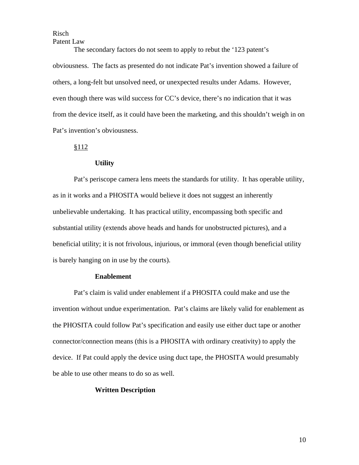Patent Law

The secondary factors do not seem to apply to rebut the '123 patent's obviousness. The facts as presented do not indicate Pat's invention showed a failure of others, a long-felt but unsolved need, or unexpected results under Adams. However, even though there was wild success for CC's device, there's no indication that it was from the device itself, as it could have been the marketing, and this shouldn't weigh in on Pat's invention's obviousness.

## §112

### **Utility**

Pat's periscope camera lens meets the standards for utility. It has operable utility, as in it works and a PHOSITA would believe it does not suggest an inherently unbelievable undertaking. It has practical utility, encompassing both specific and substantial utility (extends above heads and hands for unobstructed pictures), and a beneficial utility; it is not frivolous, injurious, or immoral (even though beneficial utility is barely hanging on in use by the courts).

#### **Enablement**

Pat's claim is valid under enablement if a PHOSITA could make and use the invention without undue experimentation. Pat's claims are likely valid for enablement as the PHOSITA could follow Pat's specification and easily use either duct tape or another connector/connection means (this is a PHOSITA with ordinary creativity) to apply the device. If Pat could apply the device using duct tape, the PHOSITA would presumably be able to use other means to do so as well.

## **Written Description**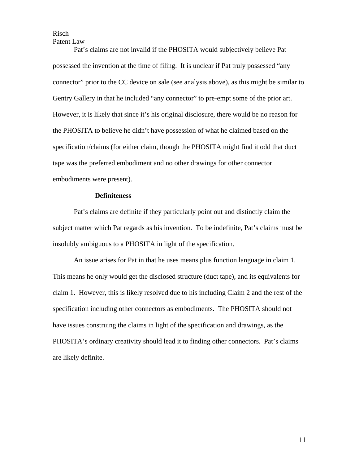Patent Law

Pat's claims are not invalid if the PHOSITA would subjectively believe Pat possessed the invention at the time of filing. It is unclear if Pat truly possessed "any connector" prior to the CC device on sale (see analysis above), as this might be similar to Gentry Gallery in that he included "any connector" to pre-empt some of the prior art. However, it is likely that since it's his original disclosure, there would be no reason for the PHOSITA to believe he didn't have possession of what he claimed based on the specification/claims (for either claim, though the PHOSITA might find it odd that duct tape was the preferred embodiment and no other drawings for other connector embodiments were present).

### **Definiteness**

Pat's claims are definite if they particularly point out and distinctly claim the subject matter which Pat regards as his invention. To be indefinite, Pat's claims must be insolubly ambiguous to a PHOSITA in light of the specification.

An issue arises for Pat in that he uses means plus function language in claim 1. This means he only would get the disclosed structure (duct tape), and its equivalents for claim 1. However, this is likely resolved due to his including Claim 2 and the rest of the specification including other connectors as embodiments. The PHOSITA should not have issues construing the claims in light of the specification and drawings, as the PHOSITA's ordinary creativity should lead it to finding other connectors. Pat's claims are likely definite.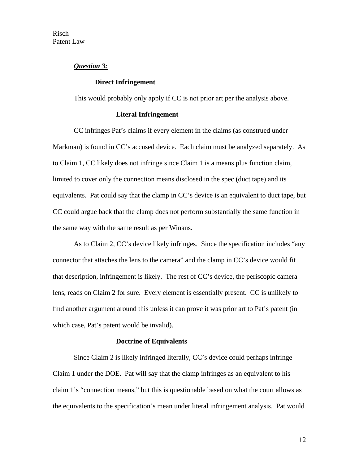## *Question 3:*

### **Direct Infringement**

This would probably only apply if CC is not prior art per the analysis above.

## **Literal Infringement**

CC infringes Pat's claims if every element in the claims (as construed under Markman) is found in CC's accused device. Each claim must be analyzed separately. As to Claim 1, CC likely does not infringe since Claim 1 is a means plus function claim, limited to cover only the connection means disclosed in the spec (duct tape) and its equivalents. Pat could say that the clamp in CC's device is an equivalent to duct tape, but CC could argue back that the clamp does not perform substantially the same function in the same way with the same result as per Winans.

As to Claim 2, CC's device likely infringes. Since the specification includes "any connector that attaches the lens to the camera" and the clamp in CC's device would fit that description, infringement is likely. The rest of CC's device, the periscopic camera lens, reads on Claim 2 for sure. Every element is essentially present. CC is unlikely to find another argument around this unless it can prove it was prior art to Pat's patent (in which case, Pat's patent would be invalid).

#### **Doctrine of Equivalents**

Since Claim 2 is likely infringed literally, CC's device could perhaps infringe Claim 1 under the DOE. Pat will say that the clamp infringes as an equivalent to his claim 1's "connection means," but this is questionable based on what the court allows as the equivalents to the specification's mean under literal infringement analysis. Pat would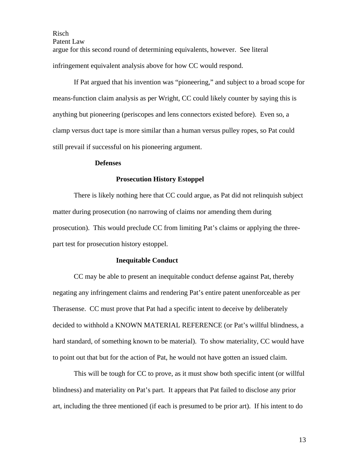Risch Patent Law argue for this second round of determining equivalents, however. See literal infringement equivalent analysis above for how CC would respond.

If Pat argued that his invention was "pioneering," and subject to a broad scope for means-function claim analysis as per Wright, CC could likely counter by saying this is anything but pioneering (periscopes and lens connectors existed before). Even so, a clamp versus duct tape is more similar than a human versus pulley ropes, so Pat could still prevail if successful on his pioneering argument.

## **Defenses**

#### **Prosecution History Estoppel**

There is likely nothing here that CC could argue, as Pat did not relinquish subject matter during prosecution (no narrowing of claims nor amending them during prosecution). This would preclude CC from limiting Pat's claims or applying the threepart test for prosecution history estoppel.

#### **Inequitable Conduct**

CC may be able to present an inequitable conduct defense against Pat, thereby negating any infringement claims and rendering Pat's entire patent unenforceable as per Therasense. CC must prove that Pat had a specific intent to deceive by deliberately decided to withhold a KNOWN MATERIAL REFERENCE (or Pat's willful blindness, a hard standard, of something known to be material). To show materiality, CC would have to point out that but for the action of Pat, he would not have gotten an issued claim.

This will be tough for CC to prove, as it must show both specific intent (or willful blindness) and materiality on Pat's part. It appears that Pat failed to disclose any prior art, including the three mentioned (if each is presumed to be prior art). If his intent to do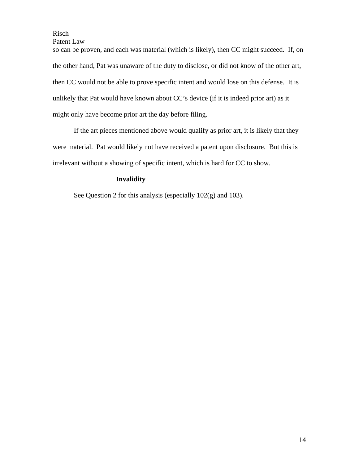Patent Law

so can be proven, and each was material (which is likely), then CC might succeed. If, on the other hand, Pat was unaware of the duty to disclose, or did not know of the other art, then CC would not be able to prove specific intent and would lose on this defense. It is unlikely that Pat would have known about CC's device (if it is indeed prior art) as it might only have become prior art the day before filing.

If the art pieces mentioned above would qualify as prior art, it is likely that they were material. Pat would likely not have received a patent upon disclosure. But this is irrelevant without a showing of specific intent, which is hard for CC to show.

# **Invalidity**

See Question 2 for this analysis (especially 102(g) and 103).